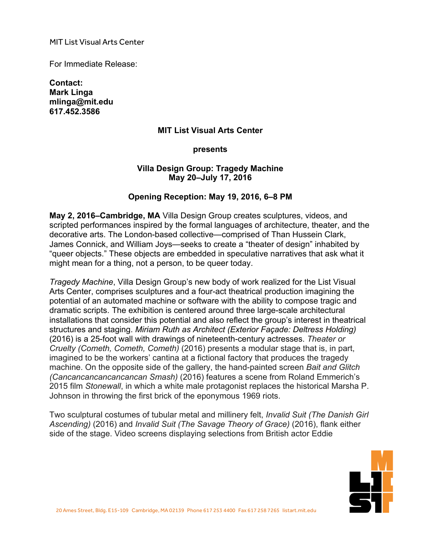MIT List Visual Arts Center

For Immediate Release:

**Contact: Mark Linga mlinga@mit.edu [617.452.3586](tel:6174523586)**

#### **MIT List Visual Arts Center**

#### **presents**

### **Villa Design Group: Tragedy Machine May 20–July 17, 2016**

### **Opening Reception: May 19, 2016, 6–8 PM**

**May 2, 2016–Cambridge, MA** Villa Design Group creates sculptures, videos, and scripted performances inspired by the formal languages of architecture, theater, and the decorative arts. The London-based collective—comprised of Than Hussein Clark, James Connick, and William Joys—seeks to create a "theater of design" inhabited by "queer objects." These objects are embedded in speculative narratives that ask what it might mean for a thing, not a person, to be queer today.

*Tragedy Machine*, Villa Design Group's new body of work realized for the List Visual Arts Center, comprises sculptures and a four-act theatrical production imagining the potential of an automated machine or software with the ability to compose tragic and dramatic scripts. The exhibition is centered around three large-scale architectural installations that consider this potential and also reflect the group's interest in theatrical structures and staging. *Miriam Ruth as Architect (Exterior Façade: Deltress Holding)* (2016) is a 25-foot wall with drawings of nineteenth-century actresses. *Theater or Cruelty (Cometh, Cometh, Cometh)* (2016) presents a modular stage that is, in part, imagined to be the workers' cantina at a fictional factory that produces the tragedy machine. On the opposite side of the gallery, the hand-painted screen *Bait and Glitch (Cancancancancancancan Smash)* (2016) features a scene from Roland Emmerich's 2015 film *Stonewall*, in which a white male protagonist replaces the historical Marsha P. Johnson in throwing the first brick of the eponymous 1969 riots.

Two sculptural costumes of tubular metal and millinery felt, *Invalid Suit (The Danish Girl Ascending)* (2016) and *Invalid Suit (The Savage Theory of Grace)* (2016), flank either side of the stage. Video screens displaying selections from British actor Eddie

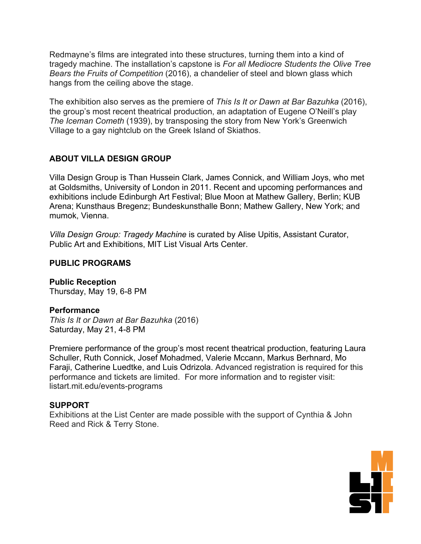Redmayne's films are integrated into these structures, turning them into a kind of tragedy machine. The installation's capstone is *For all Mediocre Students the Olive Tree Bears the Fruits of Competition* (2016), a chandelier of steel and blown glass which hangs from the ceiling above the stage.

The exhibition also serves as the premiere of *This Is It or Dawn at Bar Bazuhka* (2016), the group's most recent theatrical production, an adaptation of Eugene O'Neill's play *The Iceman Cometh* (1939), by transposing the story from New York's Greenwich Village to a gay nightclub on the Greek Island of Skiathos.

# **ABOUT VILLA DESIGN GROUP**

Villa Design Group is Than Hussein Clark, James Connick, and William Joys, who met at Goldsmiths, University of London in 2011. Recent and upcoming performances and exhibitions include Edinburgh Art Festival; Blue Moon at Mathew Gallery, Berlin; KUB Arena; Kunsthaus Bregenz; Bundeskunsthalle Bonn; Mathew Gallery, New York; and mumok, Vienna.

*Villa Design Group: Tragedy Machine* is curated by Alise Upitis, Assistant Curator, Public Art and Exhibitions, MIT List Visual Arts Center.

# **PUBLIC PROGRAMS**

**Public Reception** Thursday, May 19, 6-8 PM

# **Performance**

*This Is It or Dawn at Bar Bazuhka* (2016) Saturday, May 21, 4-8 PM

Premiere performance of the group's most recent theatrical production, featuring Laura Schuller, Ruth Connick, Josef Mohadmed, Valerie Mccann, Markus Berhnard, Mo Faraji, Catherine Luedtke, and Luis Odrizola. Advanced registration is required for this performance and tickets are limited. For more information and to register visit: <listart.mit.edu/events-programs>

# **SUPPORT**

Exhibitions at the List Center are made possible with the support of Cynthia & John Reed and Rick & Terry Stone.